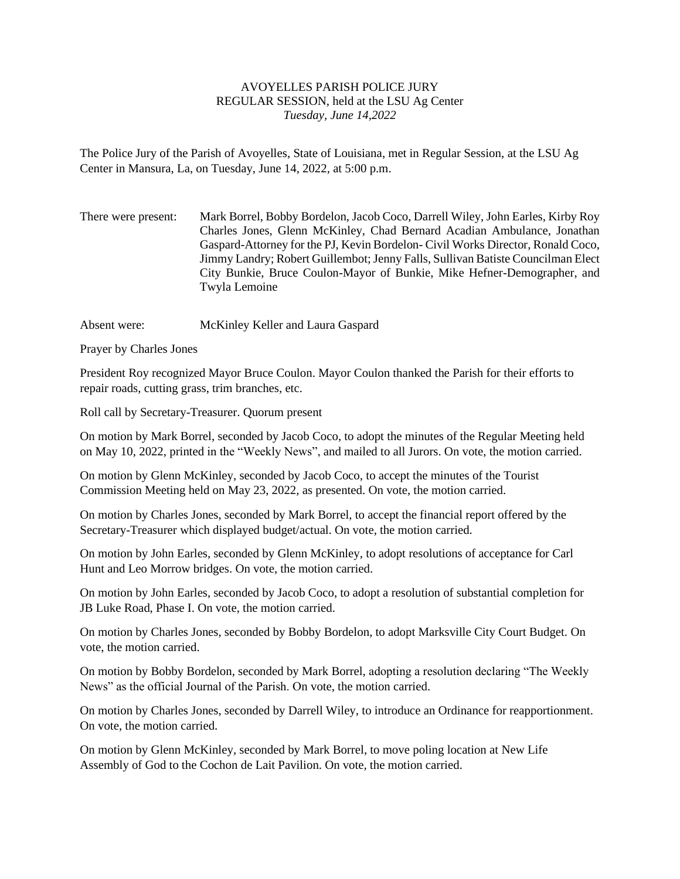## AVOYELLES PARISH POLICE JURY REGULAR SESSION, held at the LSU Ag Center *Tuesday, June 14,2022*

The Police Jury of the Parish of Avoyelles, State of Louisiana, met in Regular Session, at the LSU Ag Center in Mansura, La, on Tuesday, June 14, 2022, at 5:00 p.m.

There were present: Mark Borrel, Bobby Bordelon, Jacob Coco, Darrell Wiley, John Earles, Kirby Roy Charles Jones, Glenn McKinley, Chad Bernard Acadian Ambulance, Jonathan Gaspard-Attorney for the PJ, Kevin Bordelon- Civil Works Director, Ronald Coco, Jimmy Landry; Robert Guillembot; Jenny Falls, Sullivan Batiste Councilman Elect City Bunkie, Bruce Coulon-Mayor of Bunkie, Mike Hefner-Demographer, and Twyla Lemoine

Absent were: McKinley Keller and Laura Gaspard

Prayer by Charles Jones

President Roy recognized Mayor Bruce Coulon. Mayor Coulon thanked the Parish for their efforts to repair roads, cutting grass, trim branches, etc.

Roll call by Secretary-Treasurer. Quorum present

On motion by Mark Borrel, seconded by Jacob Coco, to adopt the minutes of the Regular Meeting held on May 10, 2022, printed in the "Weekly News", and mailed to all Jurors. On vote, the motion carried.

On motion by Glenn McKinley, seconded by Jacob Coco, to accept the minutes of the Tourist Commission Meeting held on May 23, 2022, as presented. On vote, the motion carried.

On motion by Charles Jones, seconded by Mark Borrel, to accept the financial report offered by the Secretary-Treasurer which displayed budget/actual. On vote, the motion carried.

On motion by John Earles, seconded by Glenn McKinley, to adopt resolutions of acceptance for Carl Hunt and Leo Morrow bridges. On vote, the motion carried.

On motion by John Earles, seconded by Jacob Coco, to adopt a resolution of substantial completion for JB Luke Road, Phase I. On vote, the motion carried.

On motion by Charles Jones, seconded by Bobby Bordelon, to adopt Marksville City Court Budget. On vote, the motion carried.

On motion by Bobby Bordelon, seconded by Mark Borrel, adopting a resolution declaring "The Weekly News" as the official Journal of the Parish. On vote, the motion carried.

On motion by Charles Jones, seconded by Darrell Wiley, to introduce an Ordinance for reapportionment. On vote, the motion carried.

On motion by Glenn McKinley, seconded by Mark Borrel, to move poling location at New Life Assembly of God to the Cochon de Lait Pavilion. On vote, the motion carried.